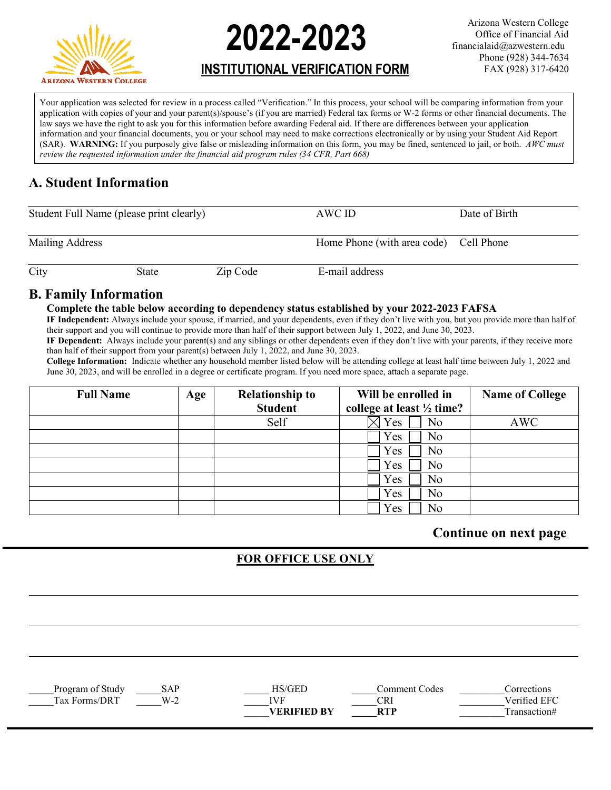

# **2022-2023**

Arizona Western College Office of Financial Aid financialaid@azwestern.edu Phone (928) 344-7634 FAX (928) 317-6420

# **INSTITUTIONAL VERIFICATION FORM**

Your application was selected for review in a process called "Verification." In this process, your school will be comparing information from your application with copies of your and your parent(s)/spouse's (if you are married) Federal tax forms or W-2 forms or other financial documents. The law says we have the right to ask you for this information before awarding Federal aid. If there are differences between your application information and your financial documents, you or your school may need to make corrections electronically or by using your Student Aid Report (SAR). **WARNING:** If you purposely give false or misleading information on this form, you may be fined, sentenced to jail, or both. *AWC must review the requested information under the financial aid program rules (34 CFR, Part 668)*

# **A. Student Information**

| Student Full Name (please print clearly) |       |          | AWC ID                                 | Date of Birth |  |
|------------------------------------------|-------|----------|----------------------------------------|---------------|--|
| Mailing Address                          |       |          | Home Phone (with area code) Cell Phone |               |  |
| City                                     | State | Zip Code | E-mail address                         |               |  |

### **B. Family Information**

#### **Complete the table below according to dependency status established by your 2022-2023 FAFSA**

**IF Independent:** Always include your spouse, if married, and your dependents, even if they don't live with you, but you provide more than half of their support and you will continue to provide more than half of their support between July 1, 2022, and June 30, 2023.

**IF Dependent:** Always include your parent(s) and any siblings or other dependents even if they don't live with your parents, if they receive more than half of their support from your parent(s) between July 1, 2022, and June 30, 2023.

**College Information:** Indicate whether any household member listed below will be attending college at least half time between July 1, 2022 and June 30, 2023, and will be enrolled in a degree or certificate program. If you need more space, attach a separate page.

| <b>Full Name</b> | Age | <b>Relationship to</b> | Will be enrolled in                  | <b>Name of College</b> |
|------------------|-----|------------------------|--------------------------------------|------------------------|
|                  |     | <b>Student</b>         | college at least $\frac{1}{2}$ time? |                        |
|                  |     | Self                   | Yes<br>No                            | <b>AWC</b>             |
|                  |     |                        | Yes<br>No                            |                        |
|                  |     |                        | Yes<br>No                            |                        |
|                  |     |                        | Yes<br>No                            |                        |
|                  |     |                        | No<br>Yes                            |                        |
|                  |     |                        | Yes<br>No                            |                        |
|                  |     |                        | No<br>Yes                            |                        |

## **Continue on next page**

## **FOR OFFICE USE ONLY**

| rooram<br>.∍⊓ıdv ⊦           | ١B<br>.                        |               | ode.    |          |
|------------------------------|--------------------------------|---------------|---------|----------|
| <b>ax</b><br>۱к<br>∩rm<br>١c | W.<br>$\overline{\phantom{a}}$ | <b>TT TTY</b> | к<br>∽⊷ | $\cdots$ |

|  |  | ___   |  |
|--|--|-------|--|
|  |  |       |  |
|  |  | _____ |  |
|  |  |       |  |

| Comment Co |
|------------|
| CRI        |
| RTP        |

**VERIFIED BY** RTP Transaction#